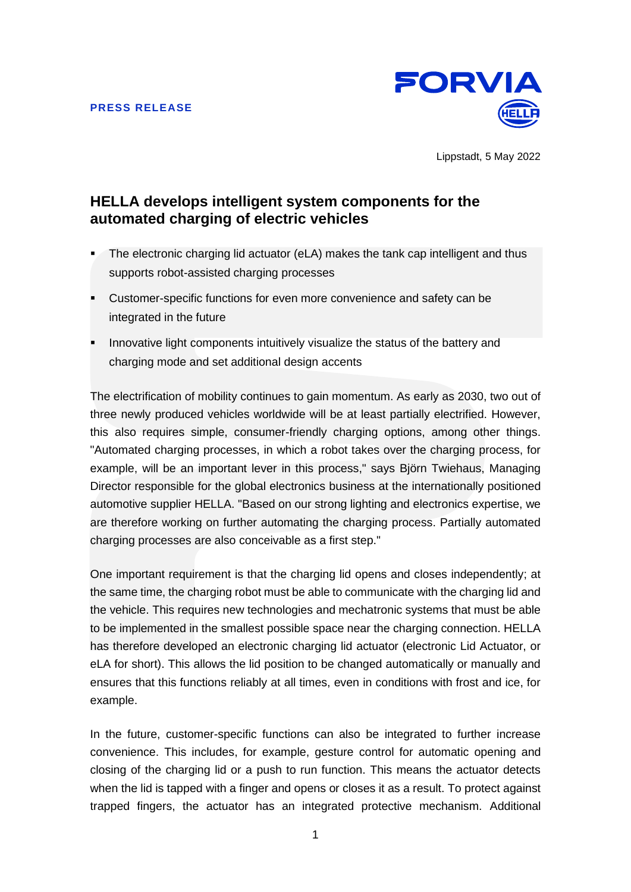

Lippstadt, 5 May 2022

# **HELLA develops intelligent system components for the automated charging of electric vehicles**

- The electronic charging lid actuator (eLA) makes the tank cap intelligent and thus supports robot-assisted charging processes
- Customer-specific functions for even more convenience and safety can be integrated in the future
- Innovative light components intuitively visualize the status of the battery and charging mode and set additional design accents

The electrification of mobility continues to gain momentum. As early as 2030, two out of three newly produced vehicles worldwide will be at least partially electrified. However, this also requires simple, consumer-friendly charging options, among other things. "Automated charging processes, in which a robot takes over the charging process, for example, will be an important lever in this process," says Björn Twiehaus, Managing Director responsible for the global electronics business at the internationally positioned automotive supplier HELLA. "Based on our strong lighting and electronics expertise, we are therefore working on further automating the charging process. Partially automated charging processes are also conceivable as a first step."

One important requirement is that the charging lid opens and closes independently; at the same time, the charging robot must be able to communicate with the charging lid and the vehicle. This requires new technologies and mechatronic systems that must be able to be implemented in the smallest possible space near the charging connection. HELLA has therefore developed an electronic charging lid actuator (electronic Lid Actuator, or eLA for short). This allows the lid position to be changed automatically or manually and ensures that this functions reliably at all times, even in conditions with frost and ice, for example.

In the future, customer-specific functions can also be integrated to further increase convenience. This includes, for example, gesture control for automatic opening and closing of the charging lid or a push to run function. This means the actuator detects when the lid is tapped with a finger and opens or closes it as a result. To protect against trapped fingers, the actuator has an integrated protective mechanism. Additional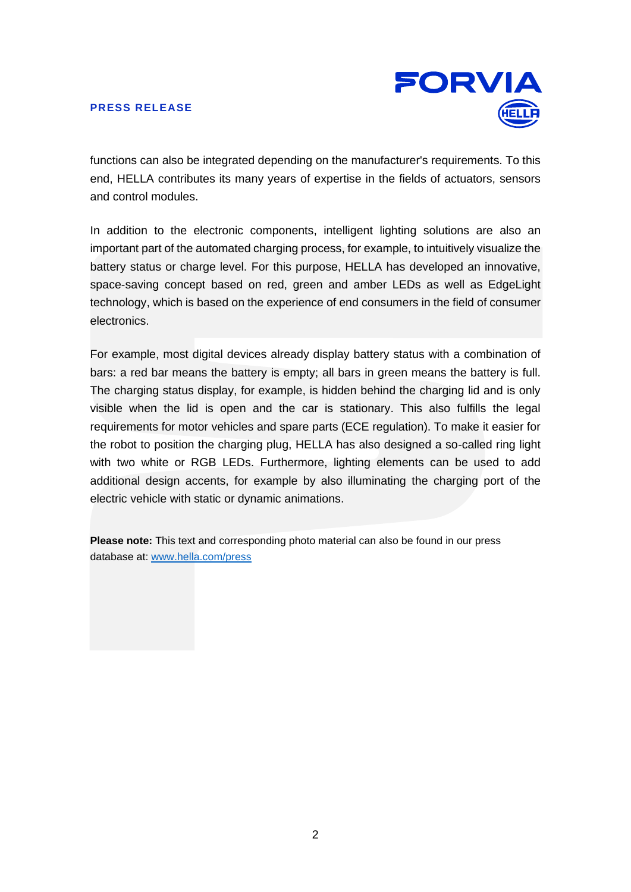## **PRESS RELEASE**



functions can also be integrated depending on the manufacturer's requirements. To this end, HELLA contributes its many years of expertise in the fields of actuators, sensors and control modules.

In addition to the electronic components, intelligent lighting solutions are also an important part of the automated charging process, for example, to intuitively visualize the battery status or charge level. For this purpose, HELLA has developed an innovative, space-saving concept based on red, green and amber LEDs as well as EdgeLight technology, which is based on the experience of end consumers in the field of consumer electronics.

For example, most digital devices already display battery status with a combination of bars: a red bar means the battery is empty; all bars in green means the battery is full. The charging status display, for example, is hidden behind the charging lid and is only visible when the lid is open and the car is stationary. This also fulfills the legal requirements for motor vehicles and spare parts (ECE regulation). To make it easier for the robot to position the charging plug, HELLA has also designed a so-called ring light with two white or RGB LEDs. Furthermore, lighting elements can be used to add additional design accents, for example by also illuminating the charging port of the electric vehicle with static or dynamic animations.

**Please note:** This text and corresponding photo material can also be found in our press database at: [www.hella.com/press](http://www.hella.com/press)